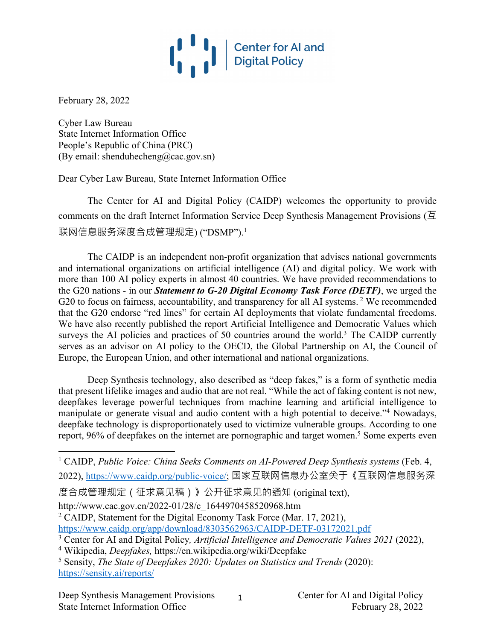

February 28, 2022

Cyber Law Bureau State Internet Information Office People's Republic of China (PRC) (By email: shenduhecheng@cac.gov.sn)

Dear Cyber Law Bureau, State Internet Information Office

The Center for AI and Digital Policy (CAIDP) welcomes the opportunity to provide comments on the draft Internet Information Service Deep Synthesis Management Provisions ( $\overline{\Delta}$ ) 联网信息服务深度合成管理规定) ("DSMP").<sup>1</sup>

The CAIDP is an independent non-profit organization that advises national governments and international organizations on artificial intelligence (AI) and digital policy. We work with more than 100 AI policy experts in almost 40 countries. We have provided recommendations to the G20 nations - in our *Statement to G-20 Digital Economy Task Force (DETF)*, we urged the G20 to focus on fairness, accountability, and transparency for all AI systems.<sup>2</sup> We recommended that the G20 endorse "red lines" for certain AI deployments that violate fundamental freedoms. We have also recently published the report Artificial Intelligence and Democratic Values which surveys the AI policies and practices of 50 countries around the world.<sup>3</sup> The CAIDP currently serves as an advisor on AI policy to the OECD, the Global Partnership on AI, the Council of Europe, the European Union, and other international and national organizations.

Deep Synthesis technology, also described as "deep fakes," is a form of synthetic media that present lifelike images and audio that are not real. "While the act of faking content is not new, deepfakes leverage powerful techniques from machine learning and artificial intelligence to manipulate or generate visual and audio content with a high potential to deceive."<sup>4</sup> Nowadays, deepfake technology is disproportionately used to victimize vulnerable groups. According to one report, 96% of deepfakes on the internet are pornographic and target women.<sup>5</sup> Some experts even

度合成管理规定(征求意见稿)》公开征求意见的通知 (original text),

http://www.cac.gov.cn/2022-01/28/c\_1644970458520968.htm

<sup>2</sup> CAIDP, Statement for the Digital Economy Task Force (Mar. 17, 2021), https://www.caidp.org/app/download/8303562963/CAIDP-DETF-03172021.pdf

<sup>3</sup> Center for AI and Digital Policy*, Artificial Intelligence and Democratic Values 2021* (2022),

1

<sup>4</sup> Wikipedia, *Deepfakes,* https://en.wikipedia.org/wiki/Deepfake

<sup>5</sup> Sensity, *The State of Deepfakes 2020: Updates on Statistics and Trends* (2020): https://sensity.ai/reports/

<sup>&</sup>lt;sup>1</sup> CAIDP, *Public Voice: China Seeks Comments on AI-Powered Deep Synthesis systems* (Feb. 4, 2022), https://www.caidp.org/public-voice/; 国家互联网信息办公室关于《互联网信息服务深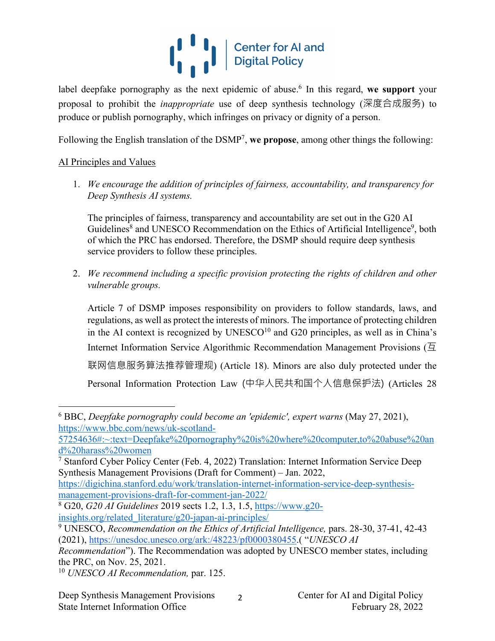## $\left|\left|\right|\right|$   $\left|\right|$   $\left|\right|$  Center for Al and

label deepfake pornography as the next epidemic of abuse. <sup>6</sup> In this regard, **we support** your proposal to prohibit the *inappropriate* use of deep synthesis technology (深度合成服务) to produce or publish pornography, which infringes on privacy or dignity of a person.

Following the English translation of the DSMP7, **we propose**, among other things the following:

## AI Principles and Values

1. *We encourage the addition of principles of fairness, accountability, and transparency for Deep Synthesis AI systems.*

The principles of fairness, transparency and accountability are set out in the G20 AI Guidelines<sup>8</sup> and UNESCO Recommendation on the Ethics of Artificial Intelligence<sup>9</sup>, both of which the PRC has endorsed. Therefore, the DSMP should require deep synthesis service providers to follow these principles.

2. *We recommend including a specific provision protecting the rights of children and other vulnerable groups.*

Article 7 of DSMP imposes responsibility on providers to follow standards, laws, and regulations, as well as protect the interests of minors. The importance of protecting children in the AI context is recognized by  $UNESCO<sup>10</sup>$  and G20 principles, as well as in China's Internet Information Service Algorithmic Recommendation Management Provisions ( $\overline{\mathfrak{A}}$ 联网信息服务算法推荐管理规) (Article 18). Minors are also duly protected under the Personal Information Protection Law (中华人民共和国个人信息保护法) (Articles 28

https://digichina.stanford.edu/work/translation-internet-information-service-deep-synthesismanagement-provisions-draft-for-comment-jan-2022/

 $\mathcal{L}$ 

<sup>6</sup> BBC, *Deepfake pornography could become an 'epidemic', expert warns* (May 27, 2021), https://www.bbc.com/news/uk-scotland-

<sup>57254636#:~:</sup>text=Deepfake%20pornography%20is%20where%20computer,to%20abuse%20an d%20harass%20women

<sup>7</sup> Stanford Cyber Policy Center (Feb. 4, 2022) Translation: Internet Information Service Deep Synthesis Management Provisions (Draft for Comment) – Jan. 2022,

<sup>8</sup> G20, *G20 AI Guidelines* 2019 sects 1.2, 1.3, 1.5, https://www.g20 insights.org/related\_literature/g20-japan-ai-principles/

<sup>9</sup> UNESCO, *Recommendation on the Ethics of Artificial Intelligence,* pars. 28-30, 37-41, 42-43 (2021), https://unesdoc.unesco.org/ark:/48223/pf0000380455.( "*UNESCO AI* 

*Recommendation*"). The Recommendation was adopted by UNESCO member states, including the PRC, on Nov. 25, 2021.

<sup>10</sup> *UNESCO AI Recommendation,* par. 125.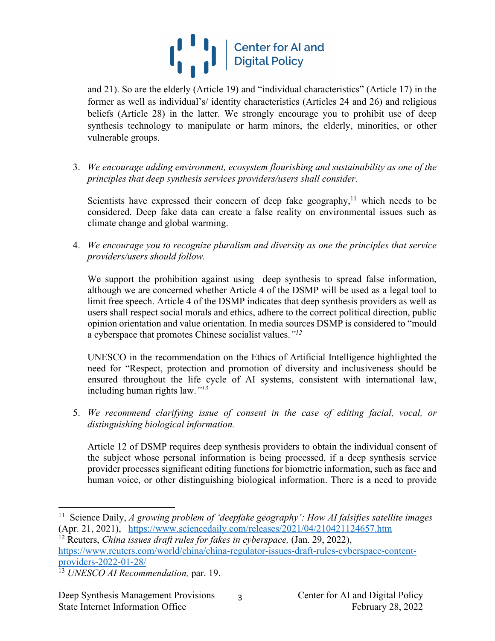

and 21). So are the elderly (Article 19) and "individual characteristics" (Article 17) in the former as well as individual's/ identity characteristics (Articles 24 and 26) and religious beliefs (Article 28) in the latter. We strongly encourage you to prohibit use of deep synthesis technology to manipulate or harm minors, the elderly, minorities, or other vulnerable groups.

3. *We encourage adding environment, ecosystem flourishing and sustainability as one of the principles that deep synthesis services providers/users shall consider.*

Scientists have expressed their concern of deep fake geography, $11$  which needs to be considered. Deep fake data can create a false reality on environmental issues such as climate change and global warming.

4. *We encourage you to recognize pluralism and diversity as one the principles that service providers/users should follow.*

We support the prohibition against using deep synthesis to spread false information, although we are concerned whether Article 4 of the DSMP will be used as a legal tool to limit free speech. Article 4 of the DSMP indicates that deep synthesis providers as well as users shall respect social morals and ethics, adhere to the correct political direction, public opinion orientation and value orientation. In media sources DSMP is considered to "mould a cyberspace that promotes Chinese socialist values.*"12*

UNESCO in the recommendation on the Ethics of Artificial Intelligence highlighted the need for "Respect, protection and promotion of diversity and inclusiveness should be ensured throughout the life cycle of AI systems, consistent with international law, including human rights law.*"13*

5. *We recommend clarifying issue of consent in the case of editing facial, vocal, or distinguishing biological information.*

Article 12 of DSMP requires deep synthesis providers to obtain the individual consent of the subject whose personal information is being processed, if a deep synthesis service provider processes significant editing functions for biometric information, such as face and human voice, or other distinguishing biological information. There is a need to provide

<sup>12</sup> Reuters, *China issues draft rules for fakes in cyberspace,* (Jan. 29, 2022),

https://www.reuters.com/world/china/china-regulator-issues-draft-rules-cyberspace-contentproviders-2022-01-28/

3

<sup>11</sup> Science Daily, *A growing problem of 'deepfake geography': How AI falsifies satellite images* (Apr. 21, 2021), https://www.sciencedaily.com/releases/2021/04/210421124657.htm

<sup>13</sup> *UNESCO AI Recommendation,* par. 19.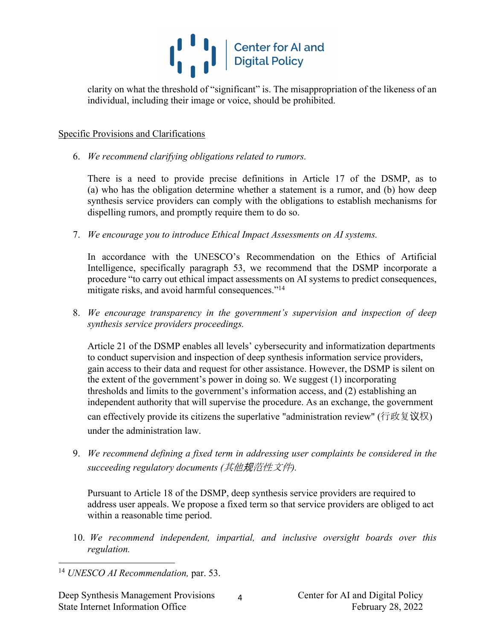

clarity on what the threshold of "significant" is. The misappropriation of the likeness of an individual, including their image or voice, should be prohibited.

## Specific Provisions and Clarifications

6. *We recommend clarifying obligations related to rumors.*

There is a need to provide precise definitions in Article 17 of the DSMP, as to (a) who has the obligation determine whether a statement is a rumor, and (b) how deep synthesis service providers can comply with the obligations to establish mechanisms for dispelling rumors, and promptly require them to do so.

7. *We encourage you to introduce Ethical Impact Assessments on AI systems.*

In accordance with the UNESCO's Recommendation on the Ethics of Artificial Intelligence, specifically paragraph 53, we recommend that the DSMP incorporate a procedure "to carry out ethical impact assessments on AI systems to predict consequences, mitigate risks, and avoid harmful consequences."<sup>14</sup>

8. *We encourage transparency in the government's supervision and inspection of deep synthesis service providers proceedings.*

Article 21 of the DSMP enables all levels' cybersecurity and informatization departments to conduct supervision and inspection of deep synthesis information service providers, gain access to their data and request for other assistance. However, the DSMP is silent on the extent of the government's power in doing so. We suggest (1) incorporating thresholds and limits to the government's information access, and (2) establishing an independent authority that will supervise the procedure. As an exchange, the government can effectively provide its citizens the superlative "administration review" (行政复议权) under the administration law.

9. *We recommend defining a fixed term in addressing user complaints be considered in the succeeding regulatory documents (*其他规范性文件*).*

Pursuant to Article 18 of the DSMP, deep synthesis service providers are required to address user appeals. We propose a fixed term so that service providers are obliged to act within a reasonable time period.

10. *We recommend independent, impartial, and inclusive oversight boards over this regulation.*

4

<sup>14</sup> *UNESCO AI Recommendation,* par. 53.